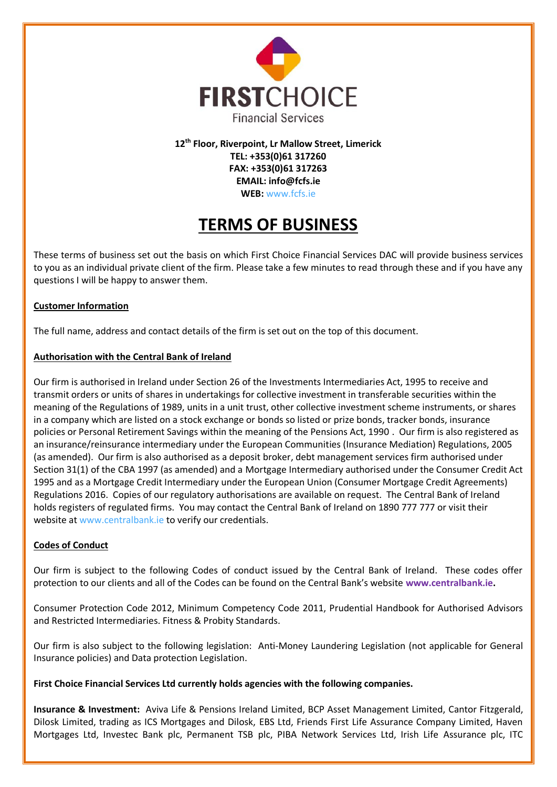

**12th Floor, Riverpoint, Lr Mallow Street, Limerick TEL: +353(0)61 317260 FAX: +353(0)61 317263 EMAIL: info@fcfs.ie WEB:** www.fcfs.ie

# **TERMS OF BUSINESS**

These terms of business set out the basis on which First Choice Financial Services DAC will provide business services to you as an individual private client of the firm. Please take a few minutes to read through these and if you have any questions I will be happy to answer them.

# **Customer Information**

The full name, address and contact details of the firm is set out on the top of this document.

# **Authorisation with the Central Bank of Ireland**

Our firm is authorised in Ireland under Section 26 of the Investments Intermediaries Act, 1995 to receive and transmit orders or units of shares in undertakings for collective investment in transferable securities within the meaning of the Regulations of 1989, units in a unit trust, other collective investment scheme instruments, or shares in a company which are listed on a stock exchange or bonds so listed or prize bonds, tracker bonds, insurance policies or Personal Retirement Savings within the meaning of the Pensions Act, 1990 . Our firm is also registered as an insurance/reinsurance intermediary under the European Communities (Insurance Mediation) Regulations, 2005 (as amended). Our firm is also authorised as a deposit broker, debt management services firm authorised under Section 31(1) of the CBA 1997 (as amended) and a Mortgage Intermediary authorised under the Consumer Credit Act 1995 and as a Mortgage Credit Intermediary under the European Union (Consumer Mortgage Credit Agreements) Regulations 2016. Copies of our regulatory authorisations are available on request. The Central Bank of Ireland holds registers of regulated firms. You may contact the Central Bank of Ireland on 1890 777 777 or visit their website at www.centralbank.ie to verify our credentials.

# **Codes of Conduct**

Our firm is subject to the following Codes of conduct issued by the Central Bank of Ireland. These codes offer protection to our clients and all of the Codes can be found on the Central Bank's website **www.centralbank.ie.** 

Consumer Protection Code 2012, Minimum Competency Code 2011, Prudential Handbook for Authorised Advisors and Restricted Intermediaries. Fitness & Probity Standards.

Our firm is also subject to the following legislation: Anti-Money Laundering Legislation (not applicable for General Insurance policies) and Data protection Legislation.

# **First Choice Financial Services Ltd currently holds agencies with the following companies.**

**Insurance & Investment:** Aviva Life & Pensions Ireland Limited, BCP Asset Management Limited, Cantor Fitzgerald, Dilosk Limited, trading as ICS Mortgages and Dilosk, EBS Ltd, Friends First Life Assurance Company Limited, Haven Mortgages Ltd, Investec Bank plc, Permanent TSB plc, PIBA Network Services Ltd, Irish Life Assurance plc, ITC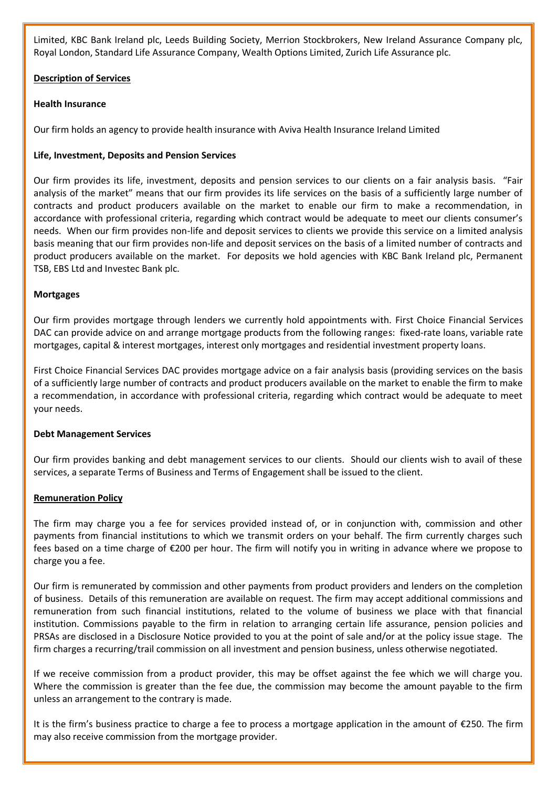Limited, KBC Bank Ireland plc, Leeds Building Society, Merrion Stockbrokers, New Ireland Assurance Company plc, Royal London, Standard Life Assurance Company, Wealth Options Limited, Zurich Life Assurance plc.

# **Description of Services**

# **Health Insurance**

Our firm holds an agency to provide health insurance with Aviva Health Insurance Ireland Limited

# **Life, Investment, Deposits and Pension Services**

Our firm provides its life, investment, deposits and pension services to our clients on a fair analysis basis. "Fair analysis of the market" means that our firm provides its life services on the basis of a sufficiently large number of contracts and product producers available on the market to enable our firm to make a recommendation, in accordance with professional criteria, regarding which contract would be adequate to meet our clients consumer's needs. When our firm provides non-life and deposit services to clients we provide this service on a limited analysis basis meaning that our firm provides non-life and deposit services on the basis of a limited number of contracts and product producers available on the market. For deposits we hold agencies with KBC Bank Ireland plc, Permanent TSB, EBS Ltd and Investec Bank plc.

# **Mortgages**

Our firm provides mortgage through lenders we currently hold appointments with. First Choice Financial Services DAC can provide advice on and arrange mortgage products from the following ranges: fixed-rate loans, variable rate mortgages, capital & interest mortgages, interest only mortgages and residential investment property loans.

First Choice Financial Services DAC provides mortgage advice on a fair analysis basis (providing services on the basis of a sufficiently large number of contracts and product producers available on the market to enable the firm to make a recommendation, in accordance with professional criteria, regarding which contract would be adequate to meet your needs.

### **Debt Management Services**

Our firm provides banking and debt management services to our clients. Should our clients wish to avail of these services, a separate Terms of Business and Terms of Engagement shall be issued to the client.

### **Remuneration Policy**

The firm may charge you a fee for services provided instead of, or in conjunction with, commission and other payments from financial institutions to which we transmit orders on your behalf. The firm currently charges such fees based on a time charge of €200 per hour. The firm will notify you in writing in advance where we propose to charge you a fee.

Our firm is remunerated by commission and other payments from product providers and lenders on the completion of business. Details of this remuneration are available on request. The firm may accept additional commissions and remuneration from such financial institutions, related to the volume of business we place with that financial institution. Commissions payable to the firm in relation to arranging certain life assurance, pension policies and PRSAs are disclosed in a Disclosure Notice provided to you at the point of sale and/or at the policy issue stage. The firm charges a recurring/trail commission on all investment and pension business, unless otherwise negotiated.

If we receive commission from a product provider, this may be offset against the fee which we will charge you. Where the commission is greater than the fee due, the commission may become the amount payable to the firm unless an arrangement to the contrary is made.

It is the firm's business practice to charge a fee to process a mortgage application in the amount of €250. The firm may also receive commission from the mortgage provider.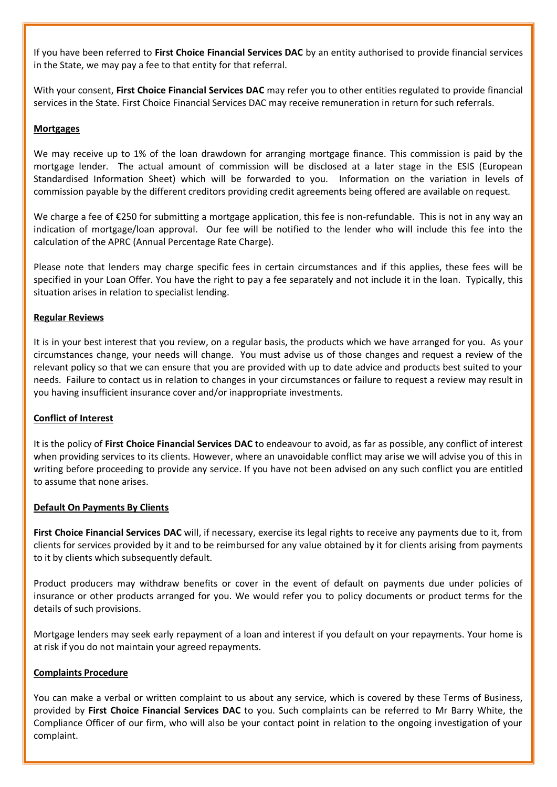If you have been referred to **First Choice Financial Services DAC** by an entity authorised to provide financial services in the State, we may pay a fee to that entity for that referral.

With your consent, **First Choice Financial Services DAC** may refer you to other entities regulated to provide financial services in the State. First Choice Financial Services DAC may receive remuneration in return for such referrals.

## **Mortgages**

We may receive up to 1% of the loan drawdown for arranging mortgage finance. This commission is paid by the mortgage lender. The actual amount of commission will be disclosed at a later stage in the ESIS (European Standardised Information Sheet) which will be forwarded to you. Information on the variation in levels of commission payable by the different creditors providing credit agreements being offered are available on request.

We charge a fee of €250 for submitting a mortgage application, this fee is non-refundable. This is not in any way an indication of mortgage/loan approval. Our fee will be notified to the lender who will include this fee into the calculation of the APRC (Annual Percentage Rate Charge).

Please note that lenders may charge specific fees in certain circumstances and if this applies, these fees will be specified in your Loan Offer. You have the right to pay a fee separately and not include it in the loan. Typically, this situation arises in relation to specialist lending.

# **Regular Reviews**

It is in your best interest that you review, on a regular basis, the products which we have arranged for you. As your circumstances change, your needs will change. You must advise us of those changes and request a review of the relevant policy so that we can ensure that you are provided with up to date advice and products best suited to your needs. Failure to contact us in relation to changes in your circumstances or failure to request a review may result in you having insufficient insurance cover and/or inappropriate investments.

### **Conflict of Interest**

It is the policy of **First Choice Financial Services DAC** to endeavour to avoid, as far as possible, any conflict of interest when providing services to its clients. However, where an unavoidable conflict may arise we will advise you of this in writing before proceeding to provide any service. If you have not been advised on any such conflict you are entitled to assume that none arises.

### **Default On Payments By Clients**

**First Choice Financial Services DAC** will, if necessary, exercise its legal rights to receive any payments due to it, from clients for services provided by it and to be reimbursed for any value obtained by it for clients arising from payments to it by clients which subsequently default.

Product producers may withdraw benefits or cover in the event of default on payments due under policies of insurance or other products arranged for you. We would refer you to policy documents or product terms for the details of such provisions.

Mortgage lenders may seek early repayment of a loan and interest if you default on your repayments. Your home is at risk if you do not maintain your agreed repayments.

### **Complaints Procedure**

You can make a verbal or written complaint to us about any service, which is covered by these Terms of Business, provided by **First Choice Financial Services DAC** to you. Such complaints can be referred to Mr Barry White, the Compliance Officer of our firm, who will also be your contact point in relation to the ongoing investigation of your complaint.